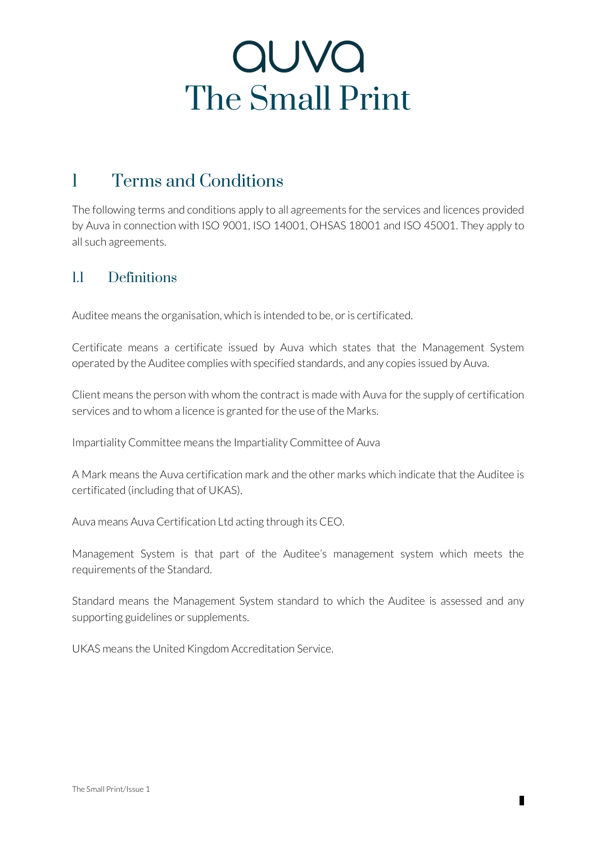### 1 Terms and Conditions

The following terms and conditions apply to all agreements for the services and licences provided by Auva in connection with ISO 9001, ISO 14001, OHSAS 18001 and ISO 45001. They apply to all such agreements.

#### 1.1 Definitions

Auditee means the organisation, which is intended to be, or is certificated.

Certificate means a certificate issued by Auva which states that the Management System operated by the Auditee complies with specified standards, and any copies issued by Auva.

Client means the person with whom the contract is made with Auva for the supply of certification services and to whom a licence is granted for the use of the Marks.

Impartiality Committee means the Impartiality Committee of Auva

A Mark means the Auva certification mark and the other marks which indicate that the Auditee is certificated (including that of UKAS).

Auva means Auva Certification Ltd acting through its CEO.

Management System is that part of the Auditee's management system which meets the requirements of the Standard.

Standard means the Management System standard to which the Auditee is assessed and any supporting guidelines or supplements.

UKAS means the United Kingdom Accreditation Service.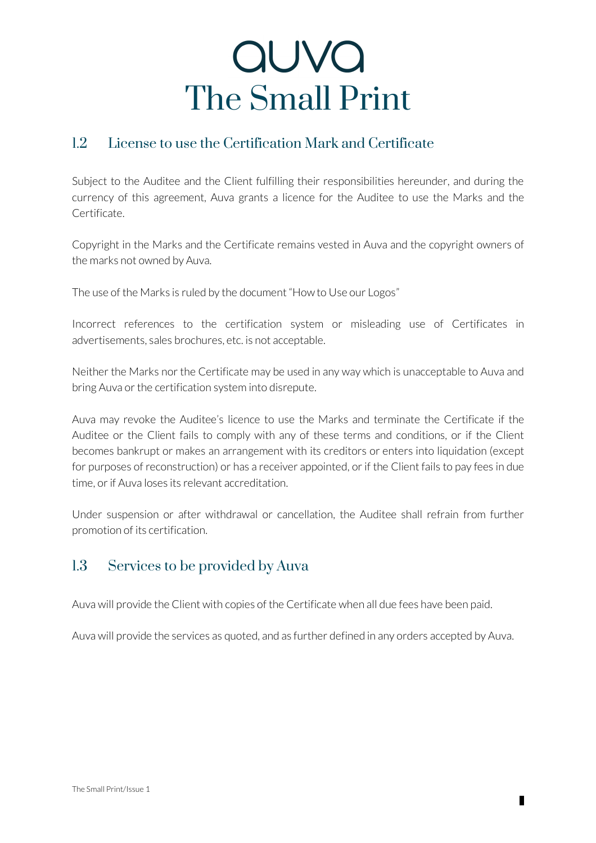### 1.2 License to use the Certification Mark and Certificate

Subject to the Auditee and the Client fulfilling their responsibilities hereunder, and during the currency of this agreement, Auva grants a licence for the Auditee to use the Marks and the Certificate.

Copyright in the Marks and the Certificate remains vested in Auva and the copyright owners of the marks not owned by Auva.

The use of the Marks is ruled by the document "How to Use our Logos"

Incorrect references to the certification system or misleading use of Certificates in advertisements, sales brochures, etc. is not acceptable.

Neither the Marks nor the Certificate may be used in any way which is unacceptable to Auva and bring Auva or the certification system into disrepute.

Auva may revoke the Auditee's licence to use the Marks and terminate the Certificate if the Auditee or the Client fails to comply with any of these terms and conditions, or if the Client becomes bankrupt or makes an arrangement with its creditors or enters into liquidation (except for purposes of reconstruction) or has a receiver appointed, or if the Client fails to pay fees in due time, or if Auva loses its relevant accreditation.

Under suspension or after withdrawal or cancellation, the Auditee shall refrain from further promotion of its certification.

#### 1.3 Services to be provided by Auva

Auva will provide the Client with copies of the Certificate when all due fees have been paid.

Auva will provide the services as quoted, and as further defined in any orders accepted by Auva.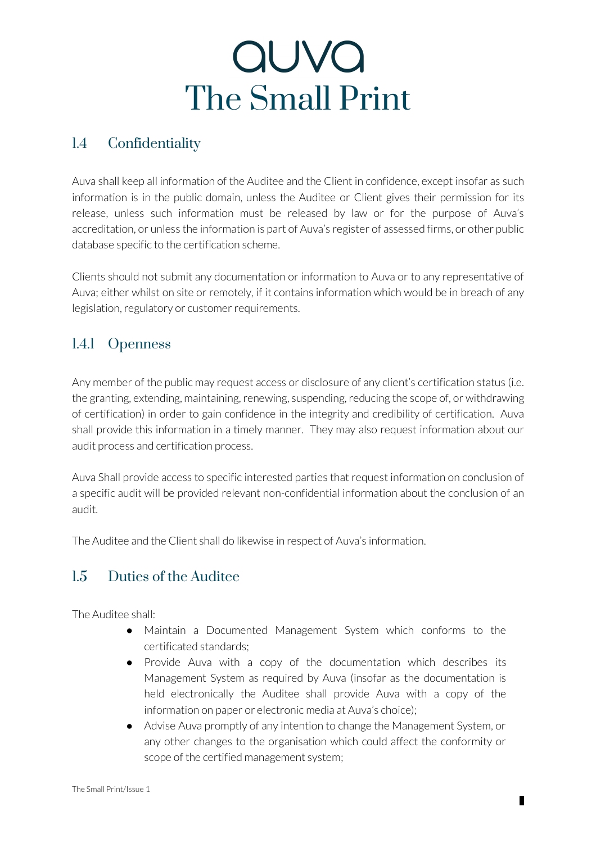### 1.4 Confidentiality

Auva shall keep all information of the Auditee and the Client in confidence, except insofar as such information is in the public domain, unless the Auditee or Client gives their permission for its release, unless such information must be released by law or for the purpose of Auva's accreditation, or unless the information is part of Auva's register of assessed firms, or other public database specific to the certification scheme.

Clients should not submit any documentation or information to Auva or to any representative of Auva; either whilst on site or remotely, if it contains information which would be in breach of any legislation, regulatory or customer requirements.

### 1.4.1 Openness

Any member of the public may request access or disclosure of any client's certification status (i.e. the granting, extending, maintaining, renewing, suspending, reducing the scope of, or withdrawing of certification) in order to gain confidence in the integrity and credibility of certification. Auva shall provide this information in a timely manner. They may also request information about our audit process and certification process.

Auva Shall provide access to specific interested parties that request information on conclusion of a specific audit will be provided relevant non-confidential information about the conclusion of an audit.

The Auditee and the Client shall do likewise in respect of Auva's information.

### 1.5 Duties of the Auditee

The Auditee shall:

- Maintain a Documented Management System which conforms to the certificated standards;
- Provide Auva with a copy of the documentation which describes its Management System as required by Auva (insofar as the documentation is held electronically the Auditee shall provide Auva with a copy of the information on paper or electronic media at Auva's choice);
- Advise Auva promptly of any intention to change the Management System, or any other changes to the organisation which could affect the conformity or scope of the certified management system;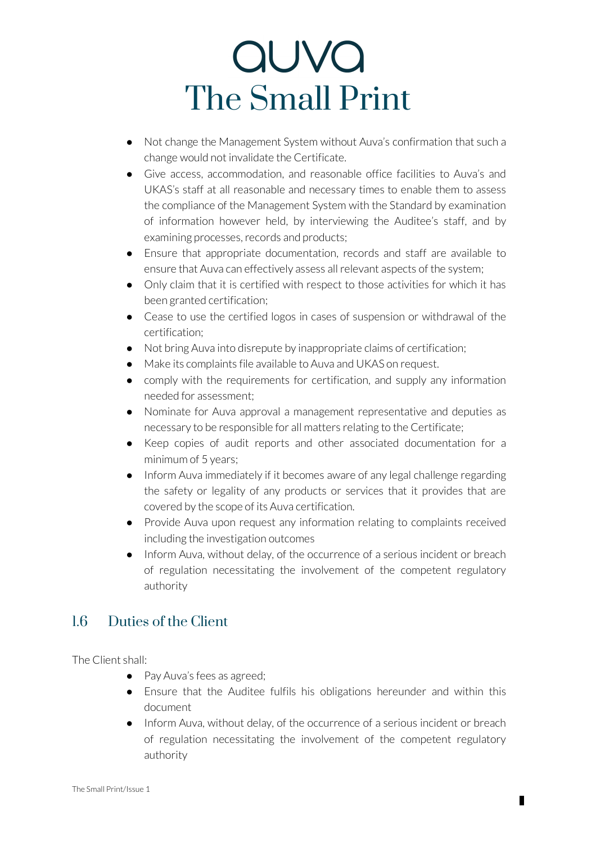- Not change the Management System without Auva's confirmation that such a change would not invalidate the Certificate.
- Give access, accommodation, and reasonable office facilities to Auva's and UKAS's staff at all reasonable and necessary times to enable them to assess the compliance of the Management System with the Standard by examination of information however held, by interviewing the Auditee's staff, and by examining processes, records and products;
- Ensure that appropriate documentation, records and staff are available to ensure that Auva can effectively assess all relevant aspects of the system;
- Only claim that it is certified with respect to those activities for which it has been granted certification;
- Cease to use the certified logos in cases of suspension or withdrawal of the certification;
- Not bring Auva into disrepute by inappropriate claims of certification;
- Make its complaints file available to Auva and UKAS on request.
- comply with the requirements for certification, and supply any information needed for assessment;
- Nominate for Auva approval a management representative and deputies as necessary to be responsible for all matters relating to the Certificate;
- Keep copies of audit reports and other associated documentation for a minimum of 5 years;
- Inform Auva immediately if it becomes aware of any legal challenge regarding the safety or legality of any products or services that it provides that are covered by the scope of its Auva certification.
- Provide Auva upon request any information relating to complaints received including the investigation outcomes
- Inform Auva, without delay, of the occurrence of a serious incident or breach of regulation necessitating the involvement of the competent regulatory authority

#### 1.6 Duties of the Client

The Client shall:

- Pay Auva's fees as agreed;
- Ensure that the Auditee fulfils his obligations hereunder and within this document
- Inform Auva, without delay, of the occurrence of a serious incident or breach of regulation necessitating the involvement of the competent regulatory authority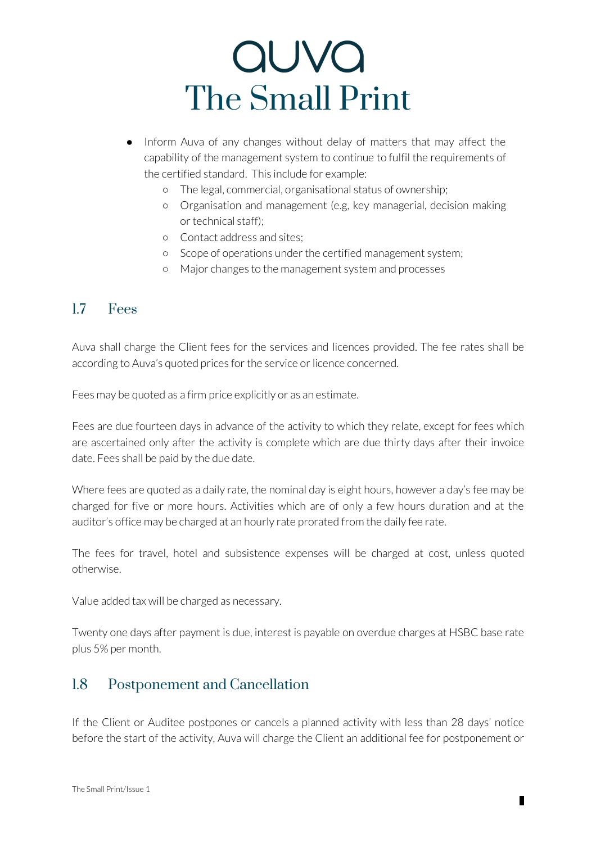# auva The Small Print

- Inform Auva of any changes without delay of matters that may affect the capability of the management system to continue to fulfil the requirements of the certified standard. This include for example:
	- The legal, commercial, organisational status of ownership;
	- Organisation and management (e.g, key managerial, decision making or technical staff);
	- Contact address and sites;
	- Scope of operations under the certified management system;
	- Major changes to the management system and processes

#### 1.7 Fees

Auva shall charge the Client fees for the services and licences provided. The fee rates shall be according to Auva's quoted prices for the service or licence concerned.

Fees may be quoted as a firm price explicitly or as an estimate.

Fees are due fourteen days in advance of the activity to which they relate, except for fees which are ascertained only after the activity is complete which are due thirty days after their invoice date. Fees shall be paid by the due date.

Where fees are quoted as a daily rate, the nominal day is eight hours, however a day's fee may be charged for five or more hours. Activities which are of only a few hours duration and at the auditor's office may be charged at an hourly rate prorated from the daily fee rate.

The fees for travel, hotel and subsistence expenses will be charged at cost, unless quoted otherwise.

Value added tax will be charged as necessary.

Twenty one days after payment is due, interest is payable on overdue charges at HSBC base rate plus 5% per month.

#### 1.8 Postponement and Cancellation

If the Client or Auditee postpones or cancels a planned activity with less than 28 days' notice before the start of the activity, Auva will charge the Client an additional fee for postponement or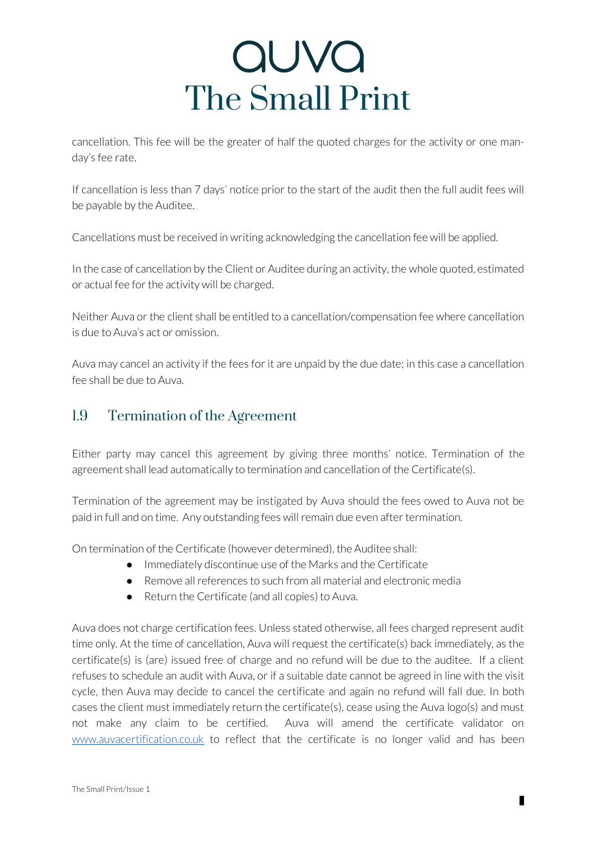# auva The Small Print

cancellation. This fee will be the greater of half the quoted charges for the activity or one manday's fee rate.

If cancellation is less than 7 days' notice prior to the start of the audit then the full audit fees will be payable by the Auditee.

Cancellations must be received in writing acknowledging the cancellation fee will be applied.

In the case of cancellation by the Client or Auditee during an activity, the whole quoted, estimated or actual fee for the activity will be charged.

Neither Auva or the client shall be entitled to a cancellation/compensation fee where cancellation is due to Auva's act or omission.

Auva may cancel an activity if the fees for it are unpaid by the due date; in this case a cancellation fee shall be due to Auva.

#### 1.9 Termination of the Agreement

Either party may cancel this agreement by giving three months' notice. Termination of the agreement shall lead automatically to termination and cancellation of the Certificate(s).

Termination of the agreement may be instigated by Auva should the fees owed to Auva not be paid in full and on time. Any outstanding fees will remain due even after termination.

On termination of the Certificate (however determined), the Auditee shall:

- Immediately discontinue use of the Marks and the Certificate
- Remove all references to such from all material and electronic media
- Return the Certificate (and all copies) to Auva.

Auva does not charge certification fees. Unless stated otherwise, all fees charged represent audit time only. At the time of cancellation, Auva will request the certificate(s) back immediately, as the certificate(s) is (are) issued free of charge and no refund will be due to the auditee. If a client refuses to schedule an audit with Auva, or if a suitable date cannot be agreed in line with the visit cycle, then Auva may decide to cancel the certificate and again no refund will fall due. In both cases the client must immediately return the certificate(s), cease using the Auva logo(s) and must not make any claim to be certified. Auva will amend the certificate validator on www.auvacertification.co.uk to reflect that the certificate is no longer valid and has been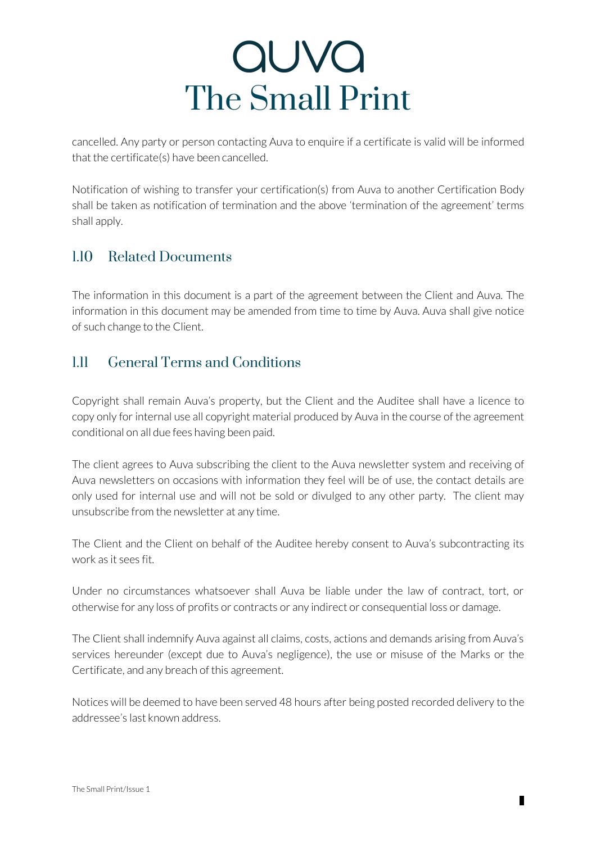cancelled. Any party or person contacting Auva to enquire if a certificate is valid will be informed that the certificate(s) have been cancelled.

Notification of wishing to transfer your certification(s) from Auva to another Certification Body shall be taken as notification of termination and the above 'termination of the agreement' terms shall apply.

### 1.10 Related Documents

The information in this document is a part of the agreement between the Client and Auva. The information in this document may be amended from time to time by Auva. Auva shall give notice of such change to the Client.

### 1.11 General Terms and Conditions

Copyright shall remain Auva's property, but the Client and the Auditee shall have a licence to copy only for internal use all copyright material produced by Auva in the course of the agreement conditional on all due fees having been paid.

The client agrees to Auva subscribing the client to the Auva newsletter system and receiving of Auva newsletters on occasions with information they feel will be of use, the contact details are only used for internal use and will not be sold or divulged to any other party. The client may unsubscribe from the newsletter at any time.

The Client and the Client on behalf of the Auditee hereby consent to Auva's subcontracting its work as it sees fit.

Under no circumstances whatsoever shall Auva be liable under the law of contract, tort, or otherwise for any loss of profits or contracts or any indirect or consequential loss or damage.

The Client shall indemnify Auva against all claims, costs, actions and demands arising from Auva's services hereunder (except due to Auva's negligence), the use or misuse of the Marks or the Certificate, and any breach of this agreement.

Notices will be deemed to have been served 48 hours after being posted recorded delivery to the addressee's last known address.